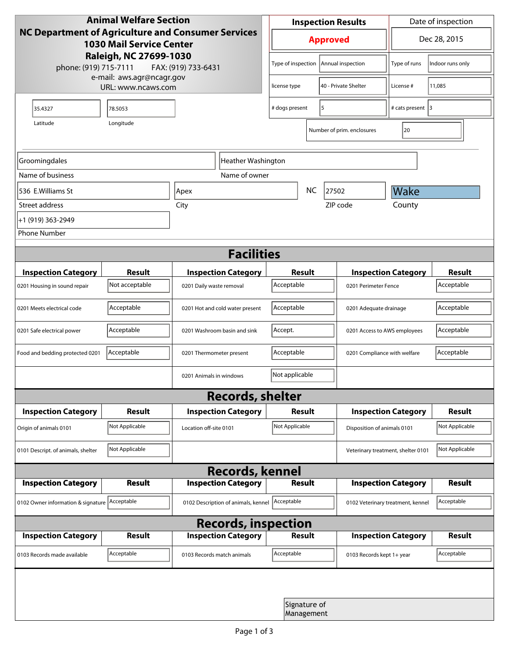| <b>Animal Welfare Section</b>                                                         |                |                                                        | <b>Inspection Results</b>            |                 |                   | Date of inspection                 |                              |                |
|---------------------------------------------------------------------------------------|----------------|--------------------------------------------------------|--------------------------------------|-----------------|-------------------|------------------------------------|------------------------------|----------------|
| NC Department of Agriculture and Consumer Services<br><b>1030 Mail Service Center</b> |                |                                                        |                                      | <b>Approved</b> |                   |                                    | Dec 28, 2015                 |                |
| Raleigh, NC 27699-1030<br>phone: (919) 715-7111<br>FAX: (919) 733-6431                |                |                                                        | Type of inspection                   |                 | Annual inspection | Type of runs                       | Indoor runs only             |                |
| e-mail: aws.agr@ncagr.gov<br>URL: www.ncaws.com                                       |                |                                                        | 40 - Private Shelter<br>license type |                 | License #         | 11,085                             |                              |                |
| 35.4327                                                                               | 78.5053        |                                                        |                                      | # dogs present  |                   | 5                                  | # cats present 3             |                |
| Longitude<br>Latitude                                                                 |                |                                                        |                                      |                 |                   | Number of prim. enclosures         | 20                           |                |
| Groomingdales                                                                         |                |                                                        | Heather Washington                   |                 |                   |                                    |                              |                |
| Name of business                                                                      |                |                                                        | Name of owner                        |                 |                   |                                    |                              |                |
| 536 E.Williams St                                                                     | Apex           |                                                        |                                      |                 | <b>NC</b>         | 27502                              | Wake                         |                |
| Street address                                                                        |                | City                                                   |                                      |                 |                   | ZIP code                           | County                       |                |
| +1 (919) 363-2949                                                                     |                |                                                        |                                      |                 |                   |                                    |                              |                |
| <b>Phone Number</b>                                                                   |                |                                                        |                                      |                 |                   |                                    |                              |                |
| <b>Facilities</b>                                                                     |                |                                                        |                                      |                 |                   |                                    |                              |                |
| <b>Inspection Category</b>                                                            | <b>Result</b>  |                                                        |                                      |                 | Result            |                                    | <b>Inspection Category</b>   | <b>Result</b>  |
| 0201 Housing in sound repair                                                          | Not acceptable | <b>Inspection Category</b><br>0201 Daily waste removal |                                      | Acceptable      |                   |                                    | 0201 Perimeter Fence         |                |
| 0201 Meets electrical code                                                            | Acceptable     | 0201 Hot and cold water present                        |                                      | Acceptable      |                   |                                    | 0201 Adequate drainage       |                |
| 0201 Safe electrical power                                                            | Acceptable     | 0201 Washroom basin and sink                           |                                      | Accept.         |                   |                                    | 0201 Access to AWS employees |                |
| Food and bedding protected 0201                                                       | Acceptable     | 0201 Thermometer present                               |                                      | Acceptable      |                   |                                    | 0201 Compliance with welfare |                |
| Not applicable<br>0201 Animals in windows                                             |                |                                                        |                                      |                 |                   |                                    |                              |                |
| <b>Records, shelter</b>                                                               |                |                                                        |                                      |                 |                   |                                    |                              |                |
| <b>Inspection Category</b>                                                            | Result         |                                                        | <b>Inspection Category</b>           | Result          |                   |                                    | <b>Inspection Category</b>   | <b>Result</b>  |
| Origin of animals 0101                                                                | Not Applicable | Location off-site 0101                                 |                                      | Not Applicable  |                   |                                    | Disposition of animals 0101  |                |
| 0101 Descript. of animals, shelter                                                    | Not Applicable |                                                        |                                      |                 |                   | Veterinary treatment, shelter 0101 |                              | Not Applicable |
| <b>Records, kennel</b>                                                                |                |                                                        |                                      |                 |                   |                                    |                              |                |
| <b>Inspection Category</b>                                                            | Result         |                                                        | <b>Inspection Category</b>           |                 | <b>Result</b>     |                                    | <b>Inspection Category</b>   | Result         |
| 0102 Owner information & signature Acceptable                                         |                |                                                        | 0102 Description of animals, kennel  | Acceptable      |                   | 0102 Veterinary treatment, kennel  |                              | Acceptable     |
| <b>Records, inspection</b>                                                            |                |                                                        |                                      |                 |                   |                                    |                              |                |
| <b>Inspection Category</b>                                                            | <b>Result</b>  |                                                        | <b>Inspection Category</b>           |                 | Result            |                                    | <b>Inspection Category</b>   | <b>Result</b>  |
| 0103 Records made available                                                           | Acceptable     | 0103 Records match animals                             |                                      | Acceptable      |                   | 0103 Records kept 1+ year          |                              | Acceptable     |
|                                                                                       |                |                                                        |                                      |                 |                   |                                    |                              |                |
| Signature of<br>Management                                                            |                |                                                        |                                      |                 |                   |                                    |                              |                |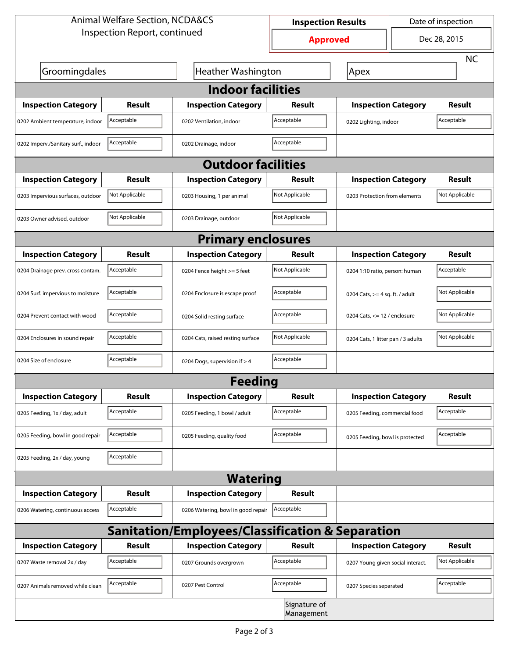| <b>Animal Welfare Section, NCDA&amp;CS</b>       |                                                   |                                    | <b>Inspection Results</b>  |                                    | Date of inspection         |                |  |  |  |
|--------------------------------------------------|---------------------------------------------------|------------------------------------|----------------------------|------------------------------------|----------------------------|----------------|--|--|--|
| Inspection Report, continued                     |                                                   |                                    | <b>Approved</b>            |                                    |                            | Dec 28, 2015   |  |  |  |
|                                                  |                                                   |                                    |                            |                                    |                            | <b>NC</b>      |  |  |  |
| Groomingdales                                    | Apex                                              |                                    |                            |                                    |                            |                |  |  |  |
| <b>Indoor facilities</b>                         |                                                   |                                    |                            |                                    |                            |                |  |  |  |
| <b>Inspection Category</b>                       | Result                                            | <b>Inspection Category</b>         | Result                     | <b>Inspection Category</b>         |                            | Result         |  |  |  |
| 0202 Ambient temperature, indoor                 | Acceptable                                        | 0202 Ventilation, indoor           | Acceptable                 | 0202 Lighting, indoor              |                            | Acceptable     |  |  |  |
| 0202 Imperv./Sanitary surf., indoor              | Acceptable<br>Acceptable<br>0202 Drainage, indoor |                                    |                            |                                    |                            |                |  |  |  |
| <b>Outdoor facilities</b>                        |                                                   |                                    |                            |                                    |                            |                |  |  |  |
| <b>Inspection Category</b>                       | <b>Result</b>                                     | <b>Inspection Category</b>         | Result                     |                                    | <b>Inspection Category</b> |                |  |  |  |
| 0203 Impervious surfaces, outdoor                | Not Applicable                                    | 0203 Housing, 1 per animal         | Not Applicable             | 0203 Protection from elements      |                            | Not Applicable |  |  |  |
| 0203 Owner advised, outdoor                      | Not Applicable                                    | 0203 Drainage, outdoor             | Not Applicable             |                                    |                            |                |  |  |  |
| <b>Primary enclosures</b>                        |                                                   |                                    |                            |                                    |                            |                |  |  |  |
| <b>Inspection Category</b>                       | Result                                            | <b>Inspection Category</b>         | Result                     | <b>Inspection Category</b>         |                            | <b>Result</b>  |  |  |  |
| 0204 Drainage prev. cross contam.                | Acceptable                                        | 0204 Fence height >= 5 feet        | Not Applicable             | 0204 1:10 ratio, person: human     |                            | Acceptable     |  |  |  |
| 0204 Surf. impervious to moisture                | Acceptable                                        | 0204 Enclosure is escape proof     | Acceptable                 | 0204 Cats, $>=$ 4 sq. ft. / adult  |                            | Not Applicable |  |  |  |
| 0204 Prevent contact with wood                   | Acceptable                                        | 0204 Solid resting surface         | Acceptable                 | 0204 Cats, $<= 12$ / enclosure     |                            | Not Applicable |  |  |  |
| 0204 Enclosures in sound repair                  | Acceptable                                        | 0204 Cats, raised resting surface  | Not Applicable             | 0204 Cats, 1 litter pan / 3 adults |                            | Not Applicable |  |  |  |
| 0204 Size of enclosure                           | Acceptable                                        | 0204 Dogs, supervision if > 4      | Acceptable                 |                                    |                            |                |  |  |  |
| <b>Feeding</b>                                   |                                                   |                                    |                            |                                    |                            |                |  |  |  |
| <b>Inspection Category</b>                       | <b>Result</b>                                     | <b>Inspection Category</b>         | <b>Result</b>              | <b>Inspection Category</b>         |                            | <b>Result</b>  |  |  |  |
| 0205 Feeding, 1x / day, adult                    | Acceptable                                        | 0205 Feeding, 1 bowl / adult       | Acceptable                 | 0205 Feeding, commercial food      |                            | Acceptable     |  |  |  |
| 0205 Feeding, bowl in good repair                | Acceptable                                        | 0205 Feeding, quality food         | Acceptable                 | 0205 Feeding, bowl is protected    |                            | Acceptable     |  |  |  |
| 0205 Feeding, 2x / day, young                    | Acceptable                                        |                                    |                            |                                    |                            |                |  |  |  |
|                                                  |                                                   | <b>Watering</b>                    |                            |                                    |                            |                |  |  |  |
| <b>Inspection Category</b>                       | <b>Result</b>                                     | <b>Inspection Category</b>         | <b>Result</b>              |                                    |                            |                |  |  |  |
| 0206 Watering, continuous access                 | Acceptable                                        | 0206 Watering, bowl in good repair | Acceptable                 |                                    |                            |                |  |  |  |
| Sanitation/Employees/Classification & Separation |                                                   |                                    |                            |                                    |                            |                |  |  |  |
| <b>Inspection Category</b>                       | <b>Result</b>                                     | <b>Inspection Category</b>         | <b>Result</b>              | <b>Inspection Category</b>         |                            | <b>Result</b>  |  |  |  |
| 0207 Waste removal 2x / day                      | Acceptable                                        | 0207 Grounds overgrown             | Acceptable                 | 0207 Young given social interact.  |                            | Not Applicable |  |  |  |
| 0207 Animals removed while clean                 | Acceptable                                        | 0207 Pest Control                  | Acceptable                 | 0207 Species separated             |                            | Acceptable     |  |  |  |
|                                                  |                                                   |                                    | Signature of<br>Management |                                    |                            |                |  |  |  |